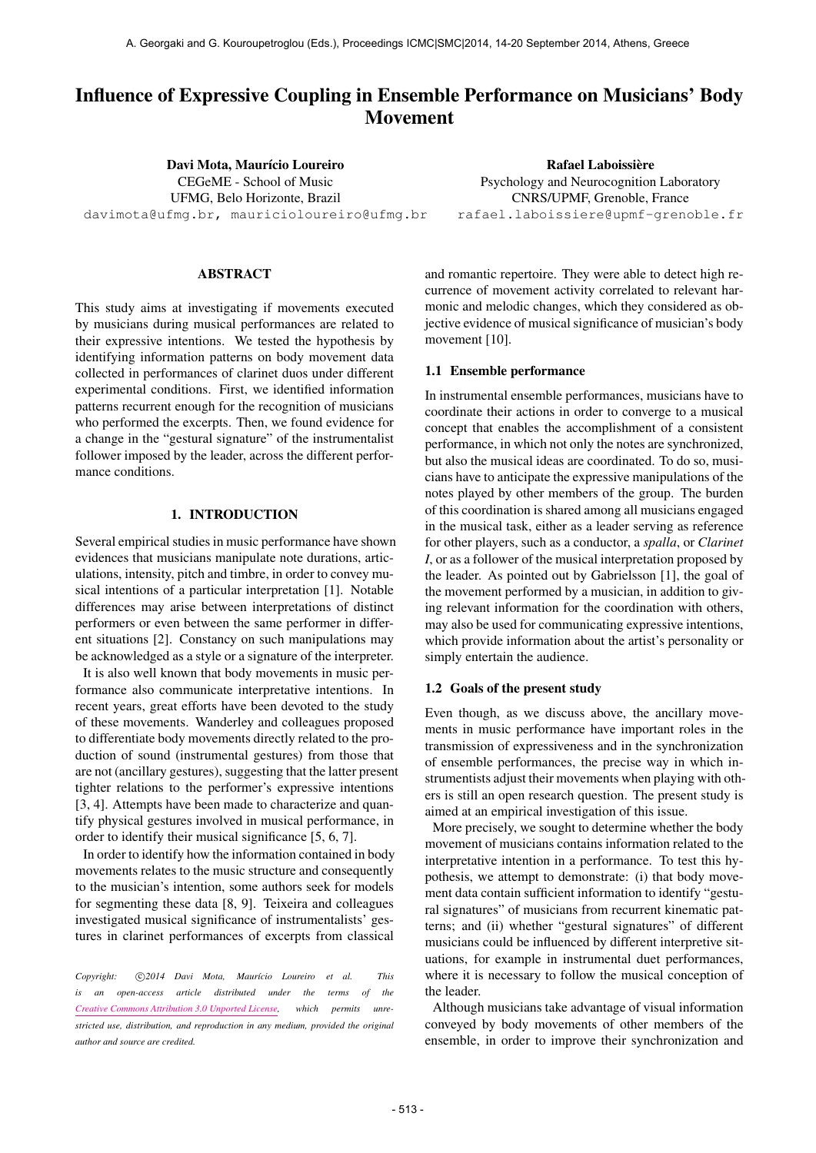# Influence of Expressive Coupling in Ensemble Performance on Musicians' Body Movement

Davi Mota, Maurício Loureiro CEGeME - School of Music UFMG, Belo Horizonte, Brazil [davimota@ufmg.br, mauricioloureiro@ufmg.br](mailto:davimota@ufmg.br, mailto:mauricioloureiro@ufmg.br)

## ABSTRACT

This study aims at investigating if movements executed by musicians during musical performances are related to their expressive intentions. We tested the hypothesis by identifying information patterns on body movement data collected in performances of clarinet duos under different experimental conditions. First, we identified information patterns recurrent enough for the recognition of musicians who performed the excerpts. Then, we found evidence for a change in the "gestural signature" of the instrumentalist follower imposed by the leader, across the different performance conditions.

## 1. INTRODUCTION

Several empirical studies in music performance have shown evidences that musicians manipulate note durations, articulations, intensity, pitch and timbre, in order to convey musical intentions of a particular interpretation [1]. Notable differences may arise between interpretations of distinct performers or even between the same performer in different situations [2]. Constancy on such manipulations may be acknowledged as a style or a signature of the interpreter.

It is also well known that body movements in music performance also communicate interpretative intentions. In recent years, great efforts have been devoted to the study of these movements. Wanderley and colleagues proposed to differentiate body movements directly related to the production of sound (instrumental gestures) from those that are not (ancillary gestures), suggesting that the latter present tighter relations to the performer's expressive intentions [3, 4]. Attempts have been made to characterize and quantify physical gestures involved in musical performance, in order to identify their musical significance [5, 6, 7].

In order to identify how the information contained in body movements relates to the music structure and consequently to the musician's intention, some authors seek for models for segmenting these data [8, 9]. Teixeira and colleagues investigated musical significance of instrumentalists' gestures in clarinet performances of excerpts from classical

Copyright:  $\bigcirc$ 2014 Davi Mota, Maurício Loureiro et al. This *is an open-access article distributed under the terms of the [Creative Commons Attribution 3.0 Unported License,](http://creativecommons.org/licenses/by/3.0/) which permits unrestricted use, distribution, and reproduction in any medium, provided the original author and source are credited.*

and romantic repertoire. They were able to detect high recurrence of movement activity correlated to relevant harmonic and melodic changes, which they considered as objective evidence of musical significance of musician's body movement [10].

## 1.1 Ensemble performance

In instrumental ensemble performances, musicians have to coordinate their actions in order to converge to a musical concept that enables the accomplishment of a consistent performance, in which not only the notes are synchronized, but also the musical ideas are coordinated. To do so, musicians have to anticipate the expressive manipulations of the notes played by other members of the group. The burden of this coordination is shared among all musicians engaged in the musical task, either as a leader serving as reference for other players, such as a conductor, a *spalla*, or *Clarinet I*, or as a follower of the musical interpretation proposed by the leader. As pointed out by Gabrielsson [1], the goal of the movement performed by a musician, in addition to giving relevant information for the coordination with others, may also be used for communicating expressive intentions, which provide information about the artist's personality or simply entertain the audience.

#### 1.2 Goals of the present study

Even though, as we discuss above, the ancillary movements in music performance have important roles in the transmission of expressiveness and in the synchronization of ensemble performances, the precise way in which instrumentists adjust their movements when playing with others is still an open research question. The present study is aimed at an empirical investigation of this issue.

More precisely, we sought to determine whether the body movement of musicians contains information related to the interpretative intention in a performance. To test this hypothesis, we attempt to demonstrate: (i) that body movement data contain sufficient information to identify "gestural signatures" of musicians from recurrent kinematic patterns; and (ii) whether "gestural signatures" of different musicians could be influenced by different interpretive situations, for example in instrumental duet performances, where it is necessary to follow the musical conception of the leader.

Although musicians take advantage of visual information conveyed by body movements of other members of the ensemble, in order to improve their synchronization and

Rafael Laboissière

Psychology and Neurocognition Laboratory CNRS/UPMF, Grenoble, France [rafael.laboissiere@upmf-grenoble.fr](mailto:rafael.laboissiere@upmf-grenoble.fr)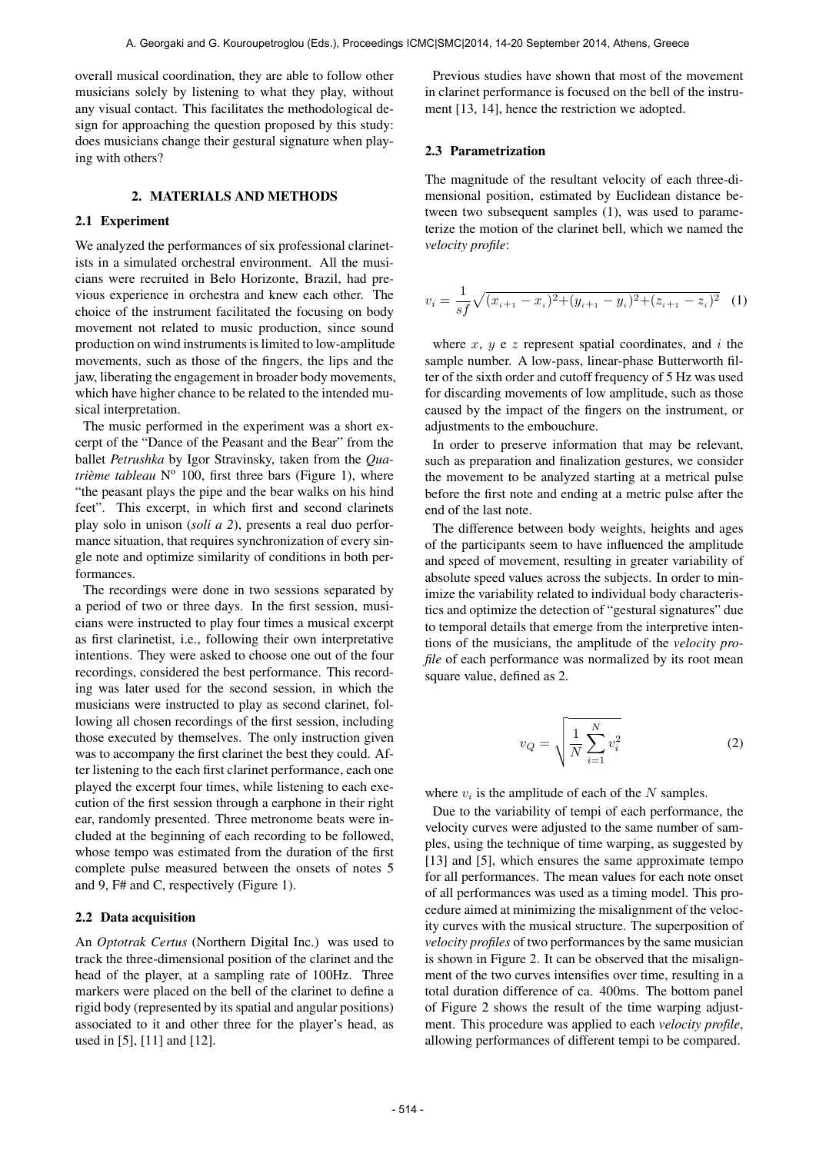overall musical coordination, they are able to follow other musicians solely by listening to what they play, without any visual contact. This facilitates the methodological design for approaching the question proposed by this study: does musicians change their gestural signature when playing with others?

#### 2. MATERIALS AND METHODS

## 2.1 Experiment

We analyzed the performances of six professional clarinetists in a simulated orchestral environment. All the musicians were recruited in Belo Horizonte, Brazil, had previous experience in orchestra and knew each other. The choice of the instrument facilitated the focusing on body movement not related to music production, since sound production on wind instruments is limited to low-amplitude movements, such as those of the fingers, the lips and the jaw, liberating the engagement in broader body movements, which have higher chance to be related to the intended musical interpretation.

The music performed in the experiment was a short excerpt of the "Dance of the Peasant and the Bear" from the ballet *Petrushka* by Igor Stravinsky, taken from the *Qua*trième tableau Nº 100, first three bars (Figure 1), where "the peasant plays the pipe and the bear walks on his hind feet". This excerpt, in which first and second clarinets play solo in unison (*soli a 2*), presents a real duo performance situation, that requires synchronization of every single note and optimize similarity of conditions in both performances.

The recordings were done in two sessions separated by a period of two or three days. In the first session, musicians were instructed to play four times a musical excerpt as first clarinetist, i.e., following their own interpretative intentions. They were asked to choose one out of the four recordings, considered the best performance. This recording was later used for the second session, in which the musicians were instructed to play as second clarinet, following all chosen recordings of the first session, including those executed by themselves. The only instruction given was to accompany the first clarinet the best they could. After listening to the each first clarinet performance, each one played the excerpt four times, while listening to each execution of the first session through a earphone in their right ear, randomly presented. Three metronome beats were included at the beginning of each recording to be followed, whose tempo was estimated from the duration of the first complete pulse measured between the onsets of notes 5 and 9, F# and C, respectively (Figure 1).

#### 2.2 Data acquisition

An *Optotrak Certus* (Northern Digital Inc.) was used to track the three-dimensional position of the clarinet and the head of the player, at a sampling rate of 100Hz. Three markers were placed on the bell of the clarinet to define a rigid body (represented by its spatial and angular positions) associated to it and other three for the player's head, as used in [5], [11] and [12].

Previous studies have shown that most of the movement in clarinet performance is focused on the bell of the instrument [13, 14], hence the restriction we adopted.

#### 2.3 Parametrization

The magnitude of the resultant velocity of each three-dimensional position, estimated by Euclidean distance between two subsequent samples (1), was used to parameterize the motion of the clarinet bell, which we named the *velocity profile*:

$$
v_i = \frac{1}{sf}\sqrt{(x_{i+1} - x_i)^2 + (y_{i+1} - y_i)^2 + (z_{i+1} - z_i)^2}
$$
 (1)

where  $x, y$  e  $z$  represent spatial coordinates, and  $i$  the sample number. A low-pass, linear-phase Butterworth filter of the sixth order and cutoff frequency of 5 Hz was used for discarding movements of low amplitude, such as those caused by the impact of the fingers on the instrument, or adjustments to the embouchure.

In order to preserve information that may be relevant, such as preparation and finalization gestures, we consider the movement to be analyzed starting at a metrical pulse before the first note and ending at a metric pulse after the end of the last note.

The difference between body weights, heights and ages of the participants seem to have influenced the amplitude and speed of movement, resulting in greater variability of absolute speed values across the subjects. In order to minimize the variability related to individual body characteristics and optimize the detection of "gestural signatures" due to temporal details that emerge from the interpretive intentions of the musicians, the amplitude of the *velocity profile* of each performance was normalized by its root mean square value, defined as 2.

$$
v_Q = \sqrt{\frac{1}{N} \sum_{i=1}^{N} v_i^2}
$$
 (2)

where  $v_i$  is the amplitude of each of the N samples.

Due to the variability of tempi of each performance, the velocity curves were adjusted to the same number of samples, using the technique of time warping, as suggested by [13] and [5], which ensures the same approximate tempo for all performances. The mean values for each note onset of all performances was used as a timing model. This procedure aimed at minimizing the misalignment of the velocity curves with the musical structure. The superposition of *velocity profiles* of two performances by the same musician is shown in Figure 2. It can be observed that the misalignment of the two curves intensifies over time, resulting in a total duration difference of ca. 400ms. The bottom panel of Figure 2 shows the result of the time warping adjustment. This procedure was applied to each *velocity profile*, allowing performances of different tempi to be compared.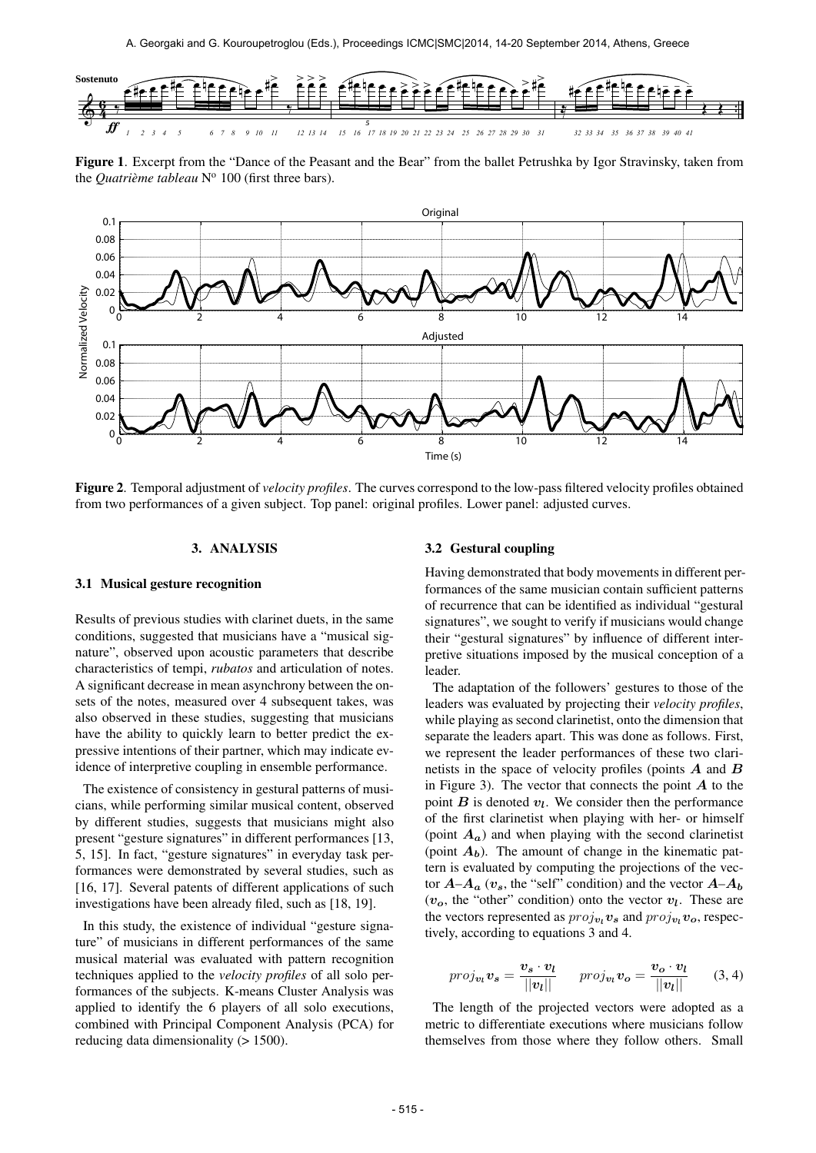

Figure 1. Excerpt from the "Dance of the Peasant and the Bear" from the ballet Petrushka by Igor Stravinsky, taken from the *Quatrième tableau* N<sup>o</sup> 100 (first three bars).



Figure 2. Temporal adjustment of *velocity profiles*. The curves correspond to the low-pass filtered velocity profiles obtained from two performances of a given subject. Top panel: original profiles. Lower panel: adjusted curves.

## 3. ANALYSIS

# 3.1 Musical gesture recognition

Results of previous studies with clarinet duets, in the same conditions, suggested that musicians have a "musical signature", observed upon acoustic parameters that describe characteristics of tempi, *rubatos* and articulation of notes. A significant decrease in mean asynchrony between the onsets of the notes, measured over 4 subsequent takes, was also observed in these studies, suggesting that musicians have the ability to quickly learn to better predict the expressive intentions of their partner, which may indicate evidence of interpretive coupling in ensemble performance.

The existence of consistency in gestural patterns of musicians, while performing similar musical content, observed by different studies, suggests that musicians might also present "gesture signatures" in different performances [13, 5, 15]. In fact, "gesture signatures" in everyday task performances were demonstrated by several studies, such as [16, 17]. Several patents of different applications of such investigations have been already filed, such as [18, 19].

In this study, the existence of individual "gesture signature" of musicians in different performances of the same musical material was evaluated with pattern recognition techniques applied to the *velocity profiles* of all solo performances of the subjects. K-means Cluster Analysis was applied to identify the 6 players of all solo executions, combined with Principal Component Analysis (PCA) for reducing data dimensionality ( $> 1500$ ).

## 3.2 Gestural coupling

Having demonstrated that body movements in different performances of the same musician contain sufficient patterns of recurrence that can be identified as individual "gestural signatures", we sought to verify if musicians would change their "gestural signatures" by influence of different interpretive situations imposed by the musical conception of a leader.

The adaptation of the followers' gestures to those of the leaders was evaluated by projecting their *velocity profiles*, while playing as second clarinetist, onto the dimension that separate the leaders apart. This was done as follows. First, we represent the leader performances of these two clarinetists in the space of velocity profiles (points  $A$  and  $B$ in Figure 3). The vector that connects the point  $A$  to the point  $B$  is denoted  $v_l$ . We consider then the performance of the first clarinetist when playing with her- or himself (point  $A_a$ ) and when playing with the second clarinetist (point  $A_b$ ). The amount of change in the kinematic pattern is evaluated by computing the projections of the vector  $A-A_a$  ( $v_s$ , the "self" condition) and the vector  $A-A_b$  $(v<sub>o</sub>)$ , the "other" condition) onto the vector  $v<sub>l</sub>$ . These are the vectors represented as  $proj_{v_l} v_s$  and  $proj_{v_l} v_o$ , respectively, according to equations 3 and 4.

$$
proj_{\boldsymbol{v}_l} \boldsymbol{v}_s = \frac{\boldsymbol{v}_s \cdot \boldsymbol{v}_l}{||\boldsymbol{v}_l||} \qquad proj_{\boldsymbol{v}_l} \boldsymbol{v}_o = \frac{\boldsymbol{v}_o \cdot \boldsymbol{v}_l}{||\boldsymbol{v}_l||} \qquad (3, 4)
$$

The length of the projected vectors were adopted as a metric to differentiate executions where musicians follow themselves from those where they follow others. Small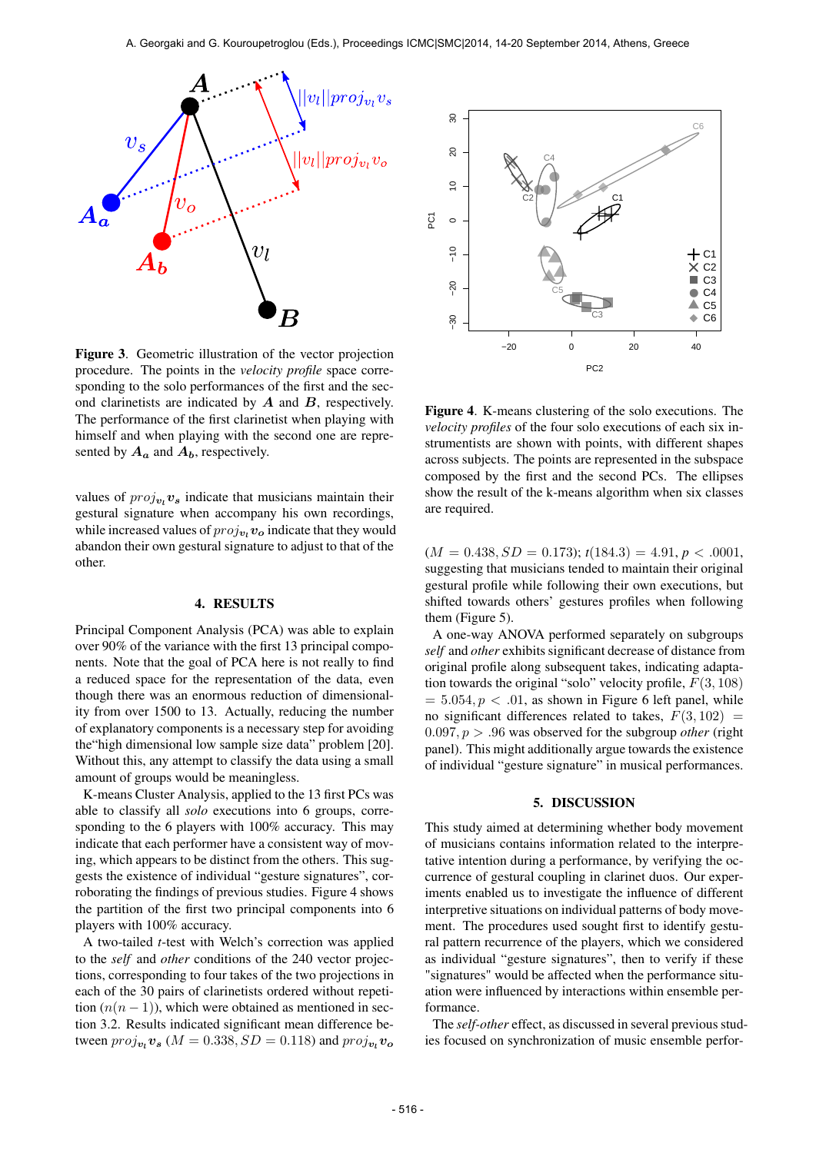

Figure 3. Geometric illustration of the vector projection procedure. The points in the *velocity profile* space corresponding to the solo performances of the first and the second clarinetists are indicated by  $A$  and  $B$ , respectively. The performance of the first clarinetist when playing with himself and when playing with the second one are represented by  $A_a$  and  $A_b$ , respectively.

values of  $proj_{v_l} v_s$  indicate that musicians maintain their gestural signature when accompany his own recordings, while increased values of  $proj_{v_l} v_o$  indicate that they would abandon their own gestural signature to adjust to that of the other.

#### 4. RESULTS

Principal Component Analysis (PCA) was able to explain over 90% of the variance with the first 13 principal components. Note that the goal of PCA here is not really to find a reduced space for the representation of the data, even though there was an enormous reduction of dimensionality from over 1500 to 13. Actually, reducing the number of explanatory components is a necessary step for avoiding the"high dimensional low sample size data" problem [20]. Without this, any attempt to classify the data using a small amount of groups would be meaningless.

K-means Cluster Analysis, applied to the 13 first PCs was able to classify all *solo* executions into 6 groups, corresponding to the 6 players with 100% accuracy. This may indicate that each performer have a consistent way of moving, which appears to be distinct from the others. This suggests the existence of individual "gesture signatures", corroborating the findings of previous studies. Figure 4 shows the partition of the first two principal components into 6 players with 100% accuracy.

A two-tailed *t*-test with Welch's correction was applied to the *self* and *other* conditions of the 240 vector projections, corresponding to four takes of the two projections in each of the 30 pairs of clarinetists ordered without repetition  $(n(n-1))$ , which were obtained as mentioned in section 3.2. Results indicated significant mean difference between  $proj_{\boldsymbol{v}_l} \boldsymbol{v}_{\boldsymbol{s}}$  ( $M = 0.338, SD = 0.118$ ) and  $proj_{\boldsymbol{v}_l} \boldsymbol{v}_o$ 



Figure 4. K-means clustering of the solo executions. The *velocity profiles* of the four solo executions of each six instrumentists are shown with points, with different shapes across subjects. The points are represented in the subspace composed by the first and the second PCs. The ellipses show the result of the k-means algorithm when six classes are required.

 $(M = 0.438, SD = 0.173); t(184.3) = 4.91, p < .0001,$ suggesting that musicians tended to maintain their original gestural profile while following their own executions, but shifted towards others' gestures profiles when following them (Figure 5).

A one-way ANOVA performed separately on subgroups *self* and *other* exhibits significant decrease of distance from original profile along subsequent takes, indicating adaptation towards the original "solo" velocity profile,  $F(3, 108)$  $= 5.054, p < .01$ , as shown in Figure 6 left panel, while no significant differences related to takes,  $F(3, 102) =$  $0.097, p > .96$  was observed for the subgroup *other* (right panel). This might additionally argue towards the existence of individual "gesture signature" in musical performances.

## 5. DISCUSSION

This study aimed at determining whether body movement of musicians contains information related to the interpretative intention during a performance, by verifying the occurrence of gestural coupling in clarinet duos. Our experiments enabled us to investigate the influence of different interpretive situations on individual patterns of body movement. The procedures used sought first to identify gestural pattern recurrence of the players, which we considered as individual "gesture signatures", then to verify if these "signatures" would be affected when the performance situation were influenced by interactions within ensemble performance.

The *self-other* effect, as discussed in several previous studies focused on synchronization of music ensemble perfor-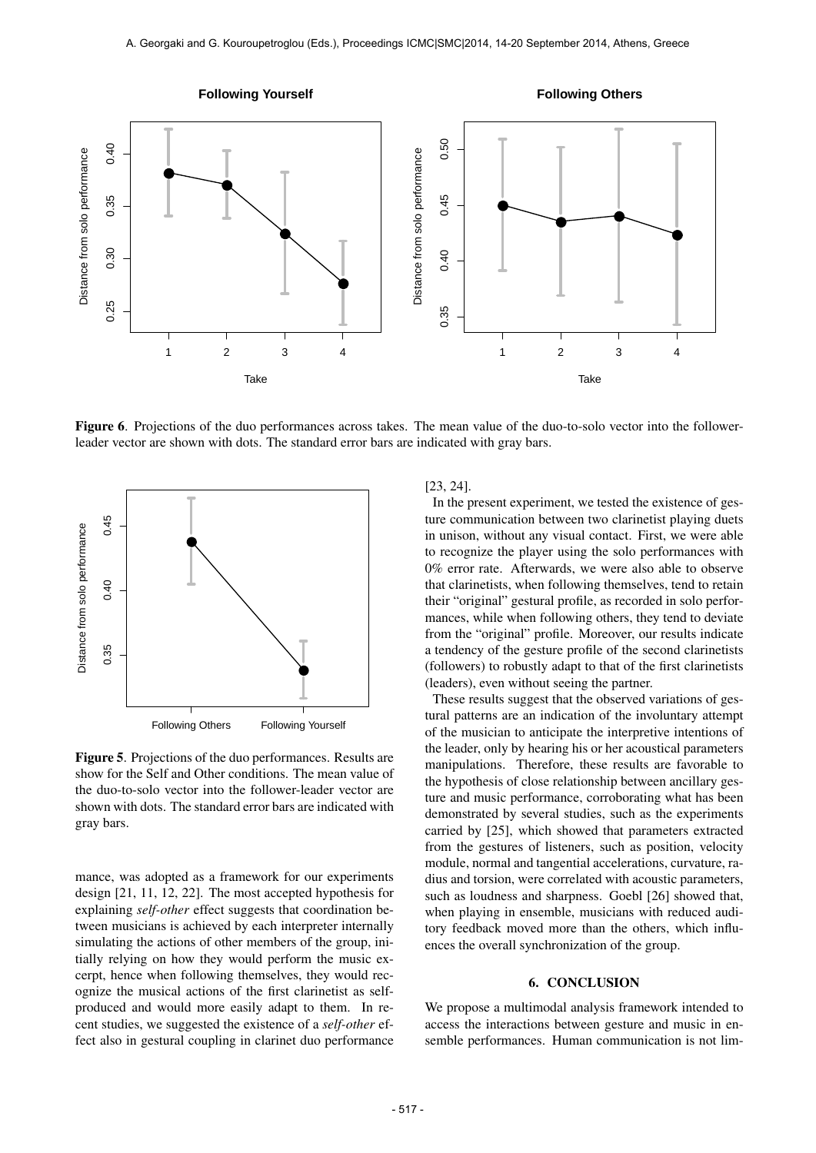

Figure 6. Projections of the duo performances across takes. The mean value of the duo-to-solo vector into the followerleader vector are shown with dots. The standard error bars are indicated with gray bars.



Figure 5. Projections of the duo performances. Results are show for the Self and Other conditions. The mean value of the duo-to-solo vector into the follower-leader vector are shown with dots. The standard error bars are indicated with gray bars.

mance, was adopted as a framework for our experiments design [21, 11, 12, 22]. The most accepted hypothesis for explaining *self-other* effect suggests that coordination between musicians is achieved by each interpreter internally simulating the actions of other members of the group, initially relying on how they would perform the music excerpt, hence when following themselves, they would recognize the musical actions of the first clarinetist as selfproduced and would more easily adapt to them. In recent studies, we suggested the existence of a *self-other* effect also in gestural coupling in clarinet duo performance

# [23, 24].

In the present experiment, we tested the existence of gesture communication between two clarinetist playing duets in unison, without any visual contact. First, we were able to recognize the player using the solo performances with 0% error rate. Afterwards, we were also able to observe that clarinetists, when following themselves, tend to retain their "original" gestural profile, as recorded in solo performances, while when following others, they tend to deviate from the "original" profile. Moreover, our results indicate a tendency of the gesture profile of the second clarinetists (followers) to robustly adapt to that of the first clarinetists (leaders), even without seeing the partner.

These results suggest that the observed variations of gestural patterns are an indication of the involuntary attempt of the musician to anticipate the interpretive intentions of the leader, only by hearing his or her acoustical parameters manipulations. Therefore, these results are favorable to the hypothesis of close relationship between ancillary gesture and music performance, corroborating what has been demonstrated by several studies, such as the experiments carried by [25], which showed that parameters extracted from the gestures of listeners, such as position, velocity module, normal and tangential accelerations, curvature, radius and torsion, were correlated with acoustic parameters, such as loudness and sharpness. Goebl [26] showed that, when playing in ensemble, musicians with reduced auditory feedback moved more than the others, which influences the overall synchronization of the group.

## 6. CONCLUSION

We propose a multimodal analysis framework intended to access the interactions between gesture and music in ensemble performances. Human communication is not lim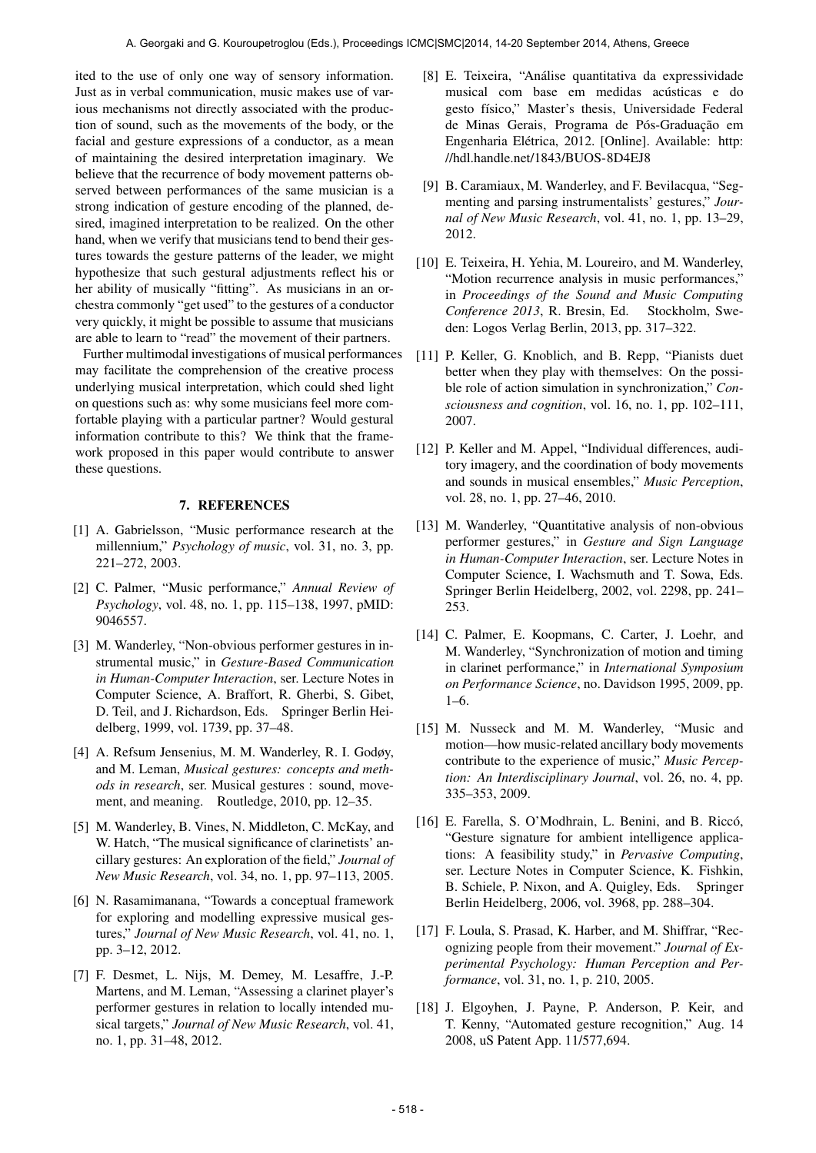ited to the use of only one way of sensory information. Just as in verbal communication, music makes use of various mechanisms not directly associated with the production of sound, such as the movements of the body, or the facial and gesture expressions of a conductor, as a mean of maintaining the desired interpretation imaginary. We believe that the recurrence of body movement patterns observed between performances of the same musician is a strong indication of gesture encoding of the planned, desired, imagined interpretation to be realized. On the other hand, when we verify that musicians tend to bend their gestures towards the gesture patterns of the leader, we might hypothesize that such gestural adjustments reflect his or her ability of musically "fitting". As musicians in an orchestra commonly "get used" to the gestures of a conductor very quickly, it might be possible to assume that musicians are able to learn to "read" the movement of their partners.

Further multimodal investigations of musical performances may facilitate the comprehension of the creative process underlying musical interpretation, which could shed light on questions such as: why some musicians feel more comfortable playing with a particular partner? Would gestural information contribute to this? We think that the framework proposed in this paper would contribute to answer these questions.

# 7. REFERENCES

- [1] A. Gabrielsson, "Music performance research at the millennium," *Psychology of music*, vol. 31, no. 3, pp. 221–272, 2003.
- [2] C. Palmer, "Music performance," *Annual Review of Psychology*, vol. 48, no. 1, pp. 115–138, 1997, pMID: 9046557.
- [3] M. Wanderley, "Non-obvious performer gestures in instrumental music," in *Gesture-Based Communication in Human-Computer Interaction*, ser. Lecture Notes in Computer Science, A. Braffort, R. Gherbi, S. Gibet, D. Teil, and J. Richardson, Eds. Springer Berlin Heidelberg, 1999, vol. 1739, pp. 37–48.
- [4] A. Refsum Jensenius, M. M. Wanderley, R. I. Godøy, and M. Leman, *Musical gestures: concepts and methods in research*, ser. Musical gestures : sound, movement, and meaning. Routledge, 2010, pp. 12–35.
- [5] M. Wanderley, B. Vines, N. Middleton, C. McKay, and W. Hatch, "The musical significance of clarinetists' ancillary gestures: An exploration of the field," *Journal of New Music Research*, vol. 34, no. 1, pp. 97–113, 2005.
- [6] N. Rasamimanana, "Towards a conceptual framework for exploring and modelling expressive musical gestures," *Journal of New Music Research*, vol. 41, no. 1, pp. 3–12, 2012.
- [7] F. Desmet, L. Nijs, M. Demey, M. Lesaffre, J.-P. Martens, and M. Leman, "Assessing a clarinet player's performer gestures in relation to locally intended musical targets," *Journal of New Music Research*, vol. 41, no. 1, pp. 31–48, 2012.
- [8] E. Teixeira, "Análise quantitativa da expressividade musical com base em medidas acústicas e do gesto físico," Master's thesis, Universidade Federal de Minas Gerais, Programa de Pós-Graduação em Engenharia Elétrica, 2012. [Online]. Available: [http:](http://hdl.handle.net/1843/BUOS-8D4EJ8) [//hdl.handle.net/1843/BUOS-8D4EJ8](http://hdl.handle.net/1843/BUOS-8D4EJ8)
- [9] B. Caramiaux, M. Wanderley, and F. Bevilacqua, "Segmenting and parsing instrumentalists' gestures," *Journal of New Music Research*, vol. 41, no. 1, pp. 13–29, 2012.
- [10] E. Teixeira, H. Yehia, M. Loureiro, and M. Wanderley, "Motion recurrence analysis in music performances," in *Proceedings of the Sound and Music Computing Conference 2013*, R. Bresin, Ed. Stockholm, Sweden: Logos Verlag Berlin, 2013, pp. 317–322.
- [11] P. Keller, G. Knoblich, and B. Repp, "Pianists duet better when they play with themselves: On the possible role of action simulation in synchronization," *Consciousness and cognition*, vol. 16, no. 1, pp. 102–111, 2007.
- [12] P. Keller and M. Appel, "Individual differences, auditory imagery, and the coordination of body movements and sounds in musical ensembles," *Music Perception*, vol. 28, no. 1, pp. 27–46, 2010.
- [13] M. Wanderley, "Quantitative analysis of non-obvious performer gestures," in *Gesture and Sign Language in Human-Computer Interaction*, ser. Lecture Notes in Computer Science, I. Wachsmuth and T. Sowa, Eds. Springer Berlin Heidelberg, 2002, vol. 2298, pp. 241– 253.
- [14] C. Palmer, E. Koopmans, C. Carter, J. Loehr, and M. Wanderley, "Synchronization of motion and timing in clarinet performance," in *International Symposium on Performance Science*, no. Davidson 1995, 2009, pp. 1–6.
- [15] M. Nusseck and M. M. Wanderley, "Music and motion—how music-related ancillary body movements contribute to the experience of music," *Music Perception: An Interdisciplinary Journal*, vol. 26, no. 4, pp. 335–353, 2009.
- [16] E. Farella, S. O'Modhrain, L. Benini, and B. Riccó, "Gesture signature for ambient intelligence applications: A feasibility study," in *Pervasive Computing*, ser. Lecture Notes in Computer Science, K. Fishkin, B. Schiele, P. Nixon, and A. Quigley, Eds. Springer Berlin Heidelberg, 2006, vol. 3968, pp. 288–304.
- [17] F. Loula, S. Prasad, K. Harber, and M. Shiffrar, "Recognizing people from their movement." *Journal of Experimental Psychology: Human Perception and Performance*, vol. 31, no. 1, p. 210, 2005.
- [18] J. Elgoyhen, J. Payne, P. Anderson, P. Keir, and T. Kenny, "Automated gesture recognition," Aug. 14 2008, uS Patent App. 11/577,694.